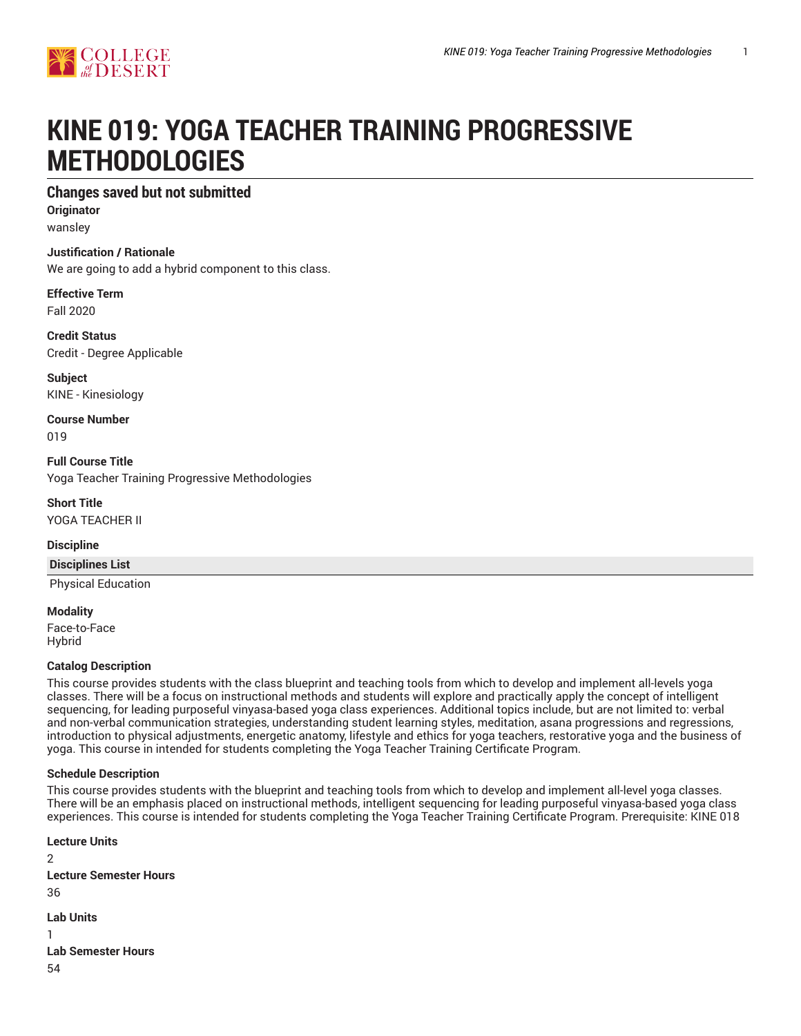# **KINE 019: YOGA TEACHER TRAINING PROGRESSIVE METHODOLOGIES**

# **Changes saved but not submitted**

**Originator** wansley

# **Justification / Rationale**

We are going to add a hybrid component to this class.

# **Effective Term**

Fall 2020

#### **Credit Status** Credit - Degree Applicable

**Subject** KINE - Kinesiology

**Course Number** 019

**Full Course Title** Yoga Teacher Training Progressive Methodologies

**Short Title** YOGA TEACHER II

# **Discipline**

# **Disciplines List**

Physical Education

**Modality** Face-to-Face Hybrid

# **Catalog Description**

This course provides students with the class blueprint and teaching tools from which to develop and implement all-levels yoga classes. There will be a focus on instructional methods and students will explore and practically apply the concept of intelligent sequencing, for leading purposeful vinyasa-based yoga class experiences. Additional topics include, but are not limited to: verbal and non-verbal communication strategies, understanding student learning styles, meditation, asana progressions and regressions, introduction to physical adjustments, energetic anatomy, lifestyle and ethics for yoga teachers, restorative yoga and the business of yoga. This course in intended for students completing the Yoga Teacher Training Certificate Program.

# **Schedule Description**

This course provides students with the blueprint and teaching tools from which to develop and implement all-level yoga classes. There will be an emphasis placed on instructional methods, intelligent sequencing for leading purposeful vinyasa-based yoga class experiences. This course is intended for students completing the Yoga Teacher Training Certificate Program. Prerequisite: KINE 018

```
Lecture Units
\mathcal{L}Lecture Semester Hours
36
Lab Units
1
Lab Semester Hours
54
```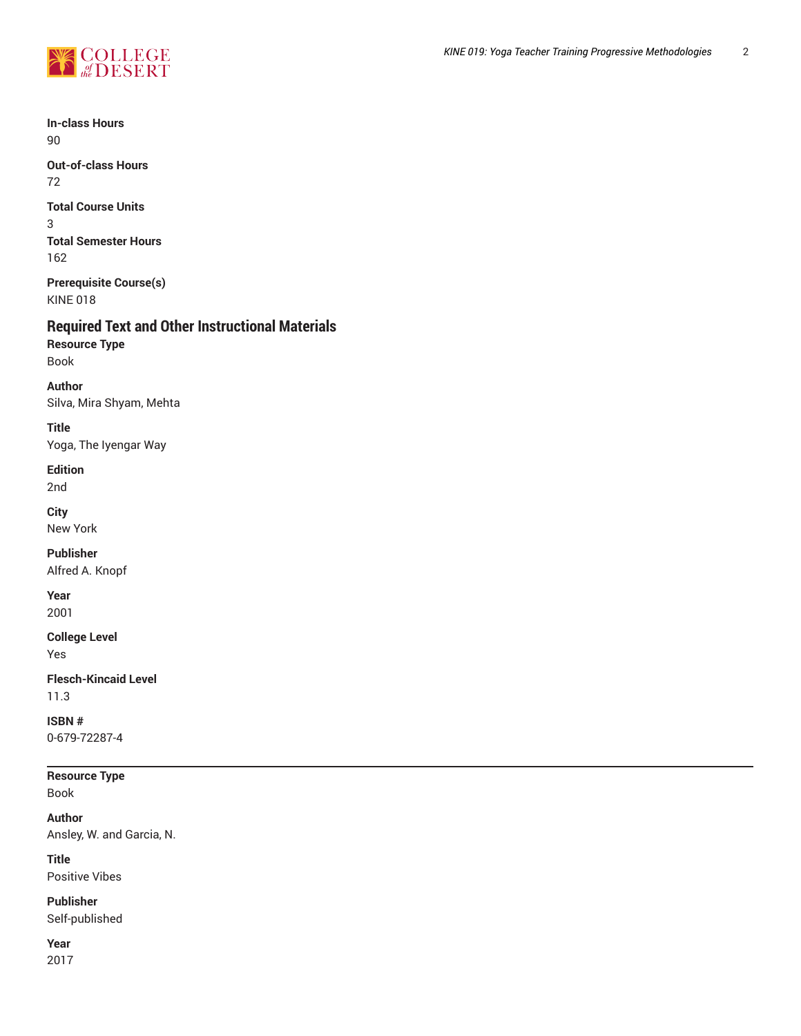

**In-class Hours** 90

**Out-of-class Hours** 72

**Total Course Units** 3 **Total Semester Hours** 162

**Prerequisite Course(s)** KINE 018

# **Required Text and Other Instructional Materials**

**Resource Type** Book

**Author**

Silva, Mira Shyam, Mehta

**Title** Yoga, The Iyengar Way

# **Edition**

2nd

**City**

New York

# **Publisher**

Alfred A. Knopf

**Year**

2001

# **College Level**

Yes

**Flesch-Kincaid Level** 11.3

**ISBN #** 0-679-72287-4

**Resource Type** Book

**Author**

Ansley, W. and Garcia, N.

**Title** Positive Vibes

**Publisher**

Self-published

**Year** 2017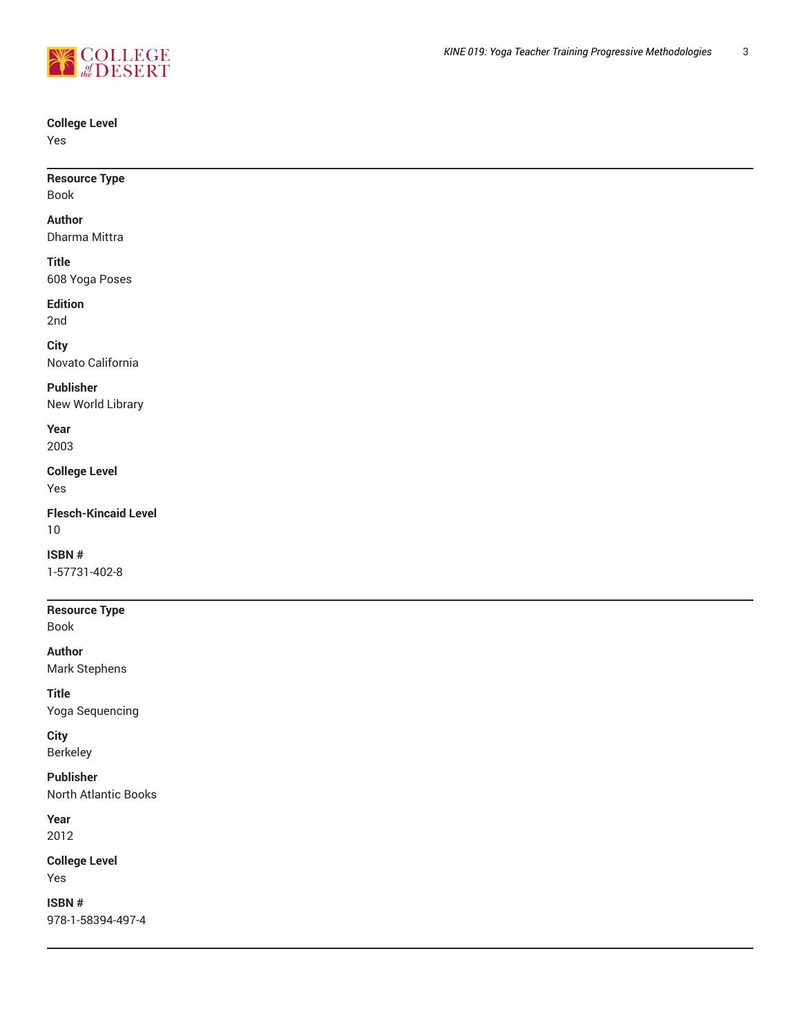

# **College Level**

Yes

| <b>Resource Type</b><br>Book   |  |  |  |
|--------------------------------|--|--|--|
| Author<br>Dharma Mittra        |  |  |  |
| <b>Title</b><br>608 Yoga Poses |  |  |  |
| - - -                          |  |  |  |

# **Edition**

2nd

# **City**

Novato California

# **Publisher**

New World Library

#### **Year** 2003

**College Level** Yes

**Flesch-Kincaid Level** 10

# **ISBN #**

1-57731-402-8

# **Resource Type**

Book

**Author** Mark Stephens

**Title**

Yoga Sequencing

**City**

Berkeley

**Publisher** North Atlantic Books

**Year** 2012

**College Level** Yes

**ISBN #** 978-1-58394-497-4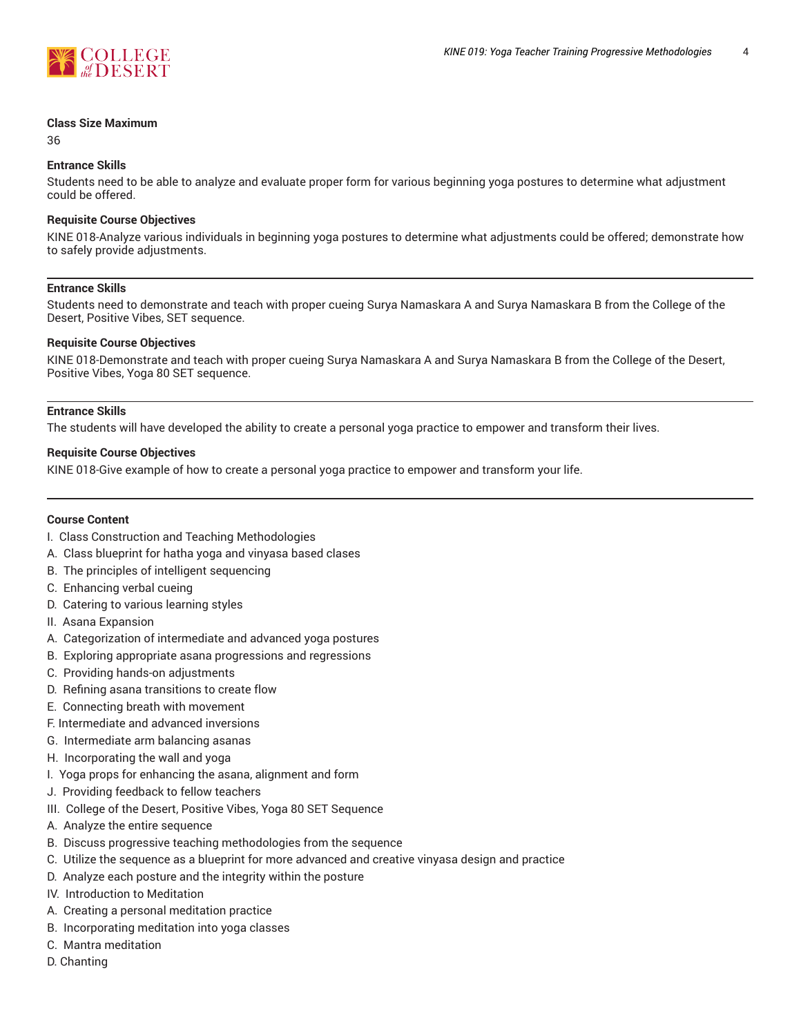

#### **Class Size Maximum**

36

#### **Entrance Skills**

Students need to be able to analyze and evaluate proper form for various beginning yoga postures to determine what adjustment could be offered.

#### **Requisite Course Objectives**

KINE 018-Analyze various individuals in beginning yoga postures to determine what adjustments could be offered; demonstrate how to safely provide adjustments.

#### **Entrance Skills**

Students need to demonstrate and teach with proper cueing Surya Namaskara A and Surya Namaskara B from the College of the Desert, Positive Vibes, SET sequence.

#### **Requisite Course Objectives**

KINE 018-Demonstrate and teach with proper cueing Surya Namaskara A and Surya Namaskara B from the College of the Desert, Positive Vibes, Yoga 80 SET sequence.

#### **Entrance Skills**

The students will have developed the ability to create a personal yoga practice to empower and transform their lives.

#### **Requisite Course Objectives**

KINE 018-Give example of how to create a personal yoga practice to empower and transform your life.

#### **Course Content**

- I. Class Construction and Teaching Methodologies
- A. Class blueprint for hatha yoga and vinyasa based clases
- B. The principles of intelligent sequencing
- C. Enhancing verbal cueing
- D. Catering to various learning styles
- II. Asana Expansion
- A. Categorization of intermediate and advanced yoga postures
- B. Exploring appropriate asana progressions and regressions
- C. Providing hands-on adjustments
- D. Refining asana transitions to create flow
- E. Connecting breath with movement
- F. Intermediate and advanced inversions
- G. Intermediate arm balancing asanas
- H. Incorporating the wall and yoga
- I. Yoga props for enhancing the asana, alignment and form
- J. Providing feedback to fellow teachers
- III. College of the Desert, Positive Vibes, Yoga 80 SET Sequence
- A. Analyze the entire sequence
- B. Discuss progressive teaching methodologies from the sequence
- C. Utilize the sequence as a blueprint for more advanced and creative vinyasa design and practice
- D. Analyze each posture and the integrity within the posture
- IV. Introduction to Meditation
- A. Creating a personal meditation practice
- B. Incorporating meditation into yoga classes
- C. Mantra meditation
- D. Chanting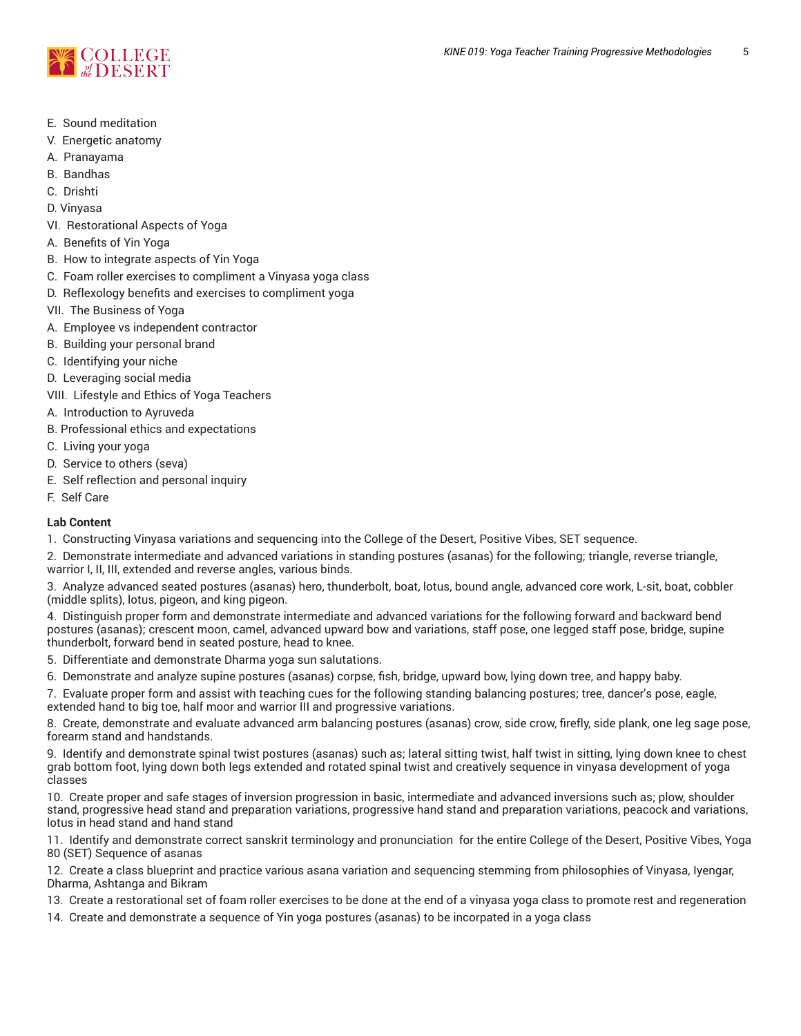

- E. Sound meditation
- V. Energetic anatomy
- A. Pranayama
- B. Bandhas
- C. Drishti
- D. Vinyasa
- VI. Restorational Aspects of Yoga
- A. Benefits of Yin Yoga
- B. How to integrate aspects of Yin Yoga
- C. Foam roller exercises to compliment a Vinyasa yoga class
- D. Reflexology benefits and exercises to compliment yoga
- VII. The Business of Yoga
- A. Employee vs independent contractor
- B. Building your personal brand
- C. Identifying your niche
- D. Leveraging social media
- VIII. Lifestyle and Ethics of Yoga Teachers
- A. Introduction to Ayruveda
- B. Professional ethics and expectations
- C. Living your yoga
- D. Service to others (seva)
- E. Self reflection and personal inquiry
- F. Self Care

# **Lab Content**

- 1. Constructing Vinyasa variations and sequencing into the College of the Desert, Positive Vibes, SET sequence.
- 2. Demonstrate intermediate and advanced variations in standing postures (asanas) for the following; triangle, reverse triangle, warrior I, II, III, extended and reverse angles, various binds.

3. Analyze advanced seated postures (asanas) hero, thunderbolt, boat, lotus, bound angle, advanced core work, L-sit, boat, cobbler (middle splits), lotus, pigeon, and king pigeon.

4. Distinguish proper form and demonstrate intermediate and advanced variations for the following forward and backward bend postures (asanas); crescent moon, camel, advanced upward bow and variations, staff pose, one legged staff pose, bridge, supine thunderbolt, forward bend in seated posture, head to knee.

5. Differentiate and demonstrate Dharma yoga sun salutations.

6. Demonstrate and analyze supine postures (asanas) corpse, fish, bridge, upward bow, lying down tree, and happy baby.

7. Evaluate proper form and assist with teaching cues for the following standing balancing postures; tree, dancer's pose, eagle, extended hand to big toe, half moor and warrior III and progressive variations.

8. Create, demonstrate and evaluate advanced arm balancing postures (asanas) crow, side crow, firefly, side plank, one leg sage pose, forearm stand and handstands.

9. Identify and demonstrate spinal twist postures (asanas) such as; lateral sitting twist, half twist in sitting, lying down knee to chest grab bottom foot, lying down both legs extended and rotated spinal twist and creatively sequence in vinyasa development of yoga classes

10. Create proper and safe stages of inversion progression in basic, intermediate and advanced inversions such as; plow, shoulder stand, progressive head stand and preparation variations, progressive hand stand and preparation variations, peacock and variations, lotus in head stand and hand stand

11. Identify and demonstrate correct sanskrit terminology and pronunciation for the entire College of the Desert, Positive Vibes, Yoga 80 (SET) Sequence of asanas

12. Create a class blueprint and practice various asana variation and sequencing stemming from philosophies of Vinyasa, Iyengar, Dharma, Ashtanga and Bikram

13. Create a restorational set of foam roller exercises to be done at the end of a vinyasa yoga class to promote rest and regeneration

14. Create and demonstrate a sequence of Yin yoga postures (asanas) to be incorpated in a yoga class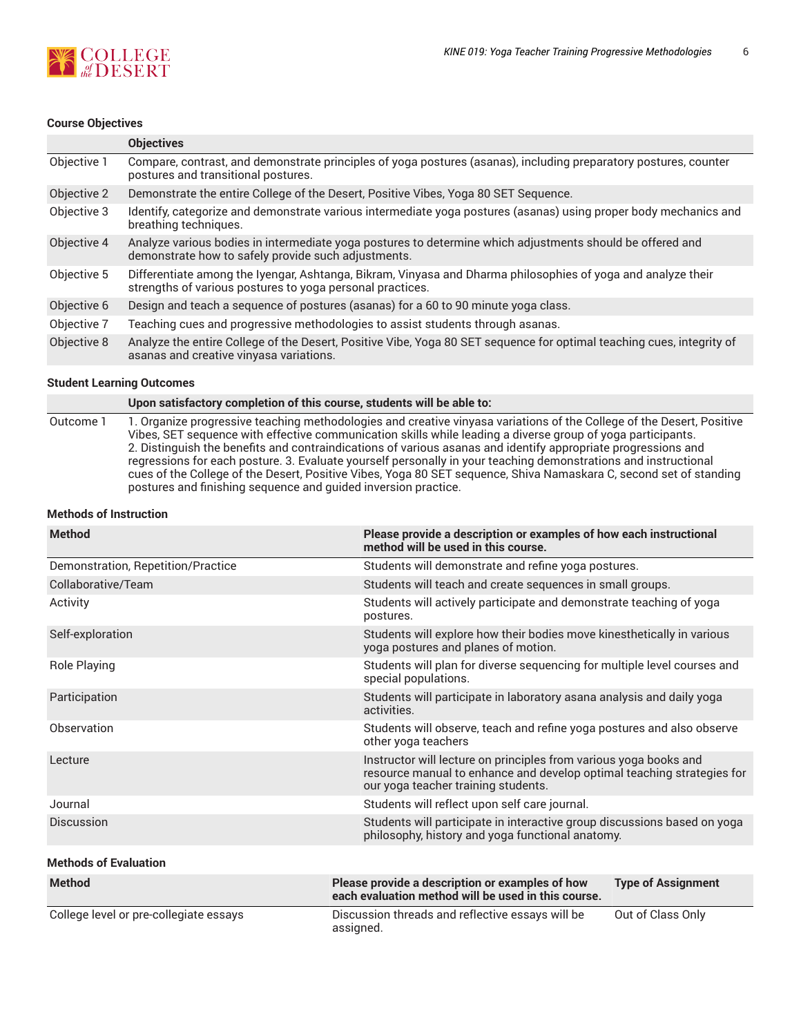

#### **Course Objectives**

|             | <b>Objectives</b>                                                                                                                                                         |
|-------------|---------------------------------------------------------------------------------------------------------------------------------------------------------------------------|
| Objective 1 | Compare, contrast, and demonstrate principles of yoga postures (asanas), including preparatory postures, counter<br>postures and transitional postures.                   |
| Objective 2 | Demonstrate the entire College of the Desert, Positive Vibes, Yoga 80 SET Sequence.                                                                                       |
| Objective 3 | Identify, categorize and demonstrate various intermediate yoga postures (asanas) using proper body mechanics and<br>breathing techniques.                                 |
| Objective 4 | Analyze various bodies in intermediate yoga postures to determine which adjustments should be offered and<br>demonstrate how to safely provide such adjustments.          |
| Objective 5 | Differentiate among the Iyengar, Ashtanga, Bikram, Vinyasa and Dharma philosophies of yoga and analyze their<br>strengths of various postures to yoga personal practices. |
| Objective 6 | Design and teach a sequence of postures (asanas) for a 60 to 90 minute yoga class.                                                                                        |
| Objective 7 | Teaching cues and progressive methodologies to assist students through asanas.                                                                                            |
| Objective 8 | Analyze the entire College of the Desert, Positive Vibe, Yoga 80 SET sequence for optimal teaching cues, integrity of<br>asanas and creative vinyasa variations.          |

#### **Student Learning Outcomes**

| Upon satisfactory completion of this course, students will be able to: |  |  |  |  |
|------------------------------------------------------------------------|--|--|--|--|
|                                                                        |  |  |  |  |

Outcome 1 1. Organize progressive teaching methodologies and creative vinyasa variations of the College of the Desert, Positive Vibes, SET sequence with effective communication skills while leading a diverse group of yoga participants. 2. Distinguish the benefits and contraindications of various asanas and identify appropriate progressions and regressions for each posture. 3. Evaluate yourself personally in your teaching demonstrations and instructional cues of the College of the Desert, Positive Vibes, Yoga 80 SET sequence, Shiva Namaskara C, second set of standing postures and finishing sequence and guided inversion practice.

#### **Methods of Instruction**

| <b>Method</b>                          | Please provide a description or examples of how each instructional<br>method will be used in this course.                    |                                                                                                                                             |  |  |  |
|----------------------------------------|------------------------------------------------------------------------------------------------------------------------------|---------------------------------------------------------------------------------------------------------------------------------------------|--|--|--|
| Demonstration, Repetition/Practice     | Students will demonstrate and refine yoga postures.                                                                          |                                                                                                                                             |  |  |  |
| Collaborative/Team                     |                                                                                                                              | Students will teach and create sequences in small groups.                                                                                   |  |  |  |
| Activity                               | postures.                                                                                                                    | Students will actively participate and demonstrate teaching of yoga                                                                         |  |  |  |
| Self-exploration                       | yoga postures and planes of motion.                                                                                          | Students will explore how their bodies move kinesthetically in various                                                                      |  |  |  |
| Role Playing                           | special populations.                                                                                                         | Students will plan for diverse sequencing for multiple level courses and                                                                    |  |  |  |
| Participation                          | activities.                                                                                                                  | Students will participate in laboratory asana analysis and daily yoga                                                                       |  |  |  |
| Observation                            | other yoga teachers                                                                                                          | Students will observe, teach and refine yoga postures and also observe                                                                      |  |  |  |
| Lecture                                | our yoga teacher training students.                                                                                          | Instructor will lecture on principles from various yoga books and<br>resource manual to enhance and develop optimal teaching strategies for |  |  |  |
| Journal                                | Students will reflect upon self care journal.                                                                                |                                                                                                                                             |  |  |  |
| Discussion                             | Students will participate in interactive group discussions based on yoga<br>philosophy, history and yoga functional anatomy. |                                                                                                                                             |  |  |  |
| <b>Methods of Evaluation</b>           |                                                                                                                              |                                                                                                                                             |  |  |  |
| <b>Method</b>                          | Please provide a description or examples of how<br>each evaluation method will be used in this course.                       | <b>Type of Assignment</b>                                                                                                                   |  |  |  |
| College level or pre-collegiate essays | Discussion threads and reflective essays will be<br>assigned.                                                                | Out of Class Only                                                                                                                           |  |  |  |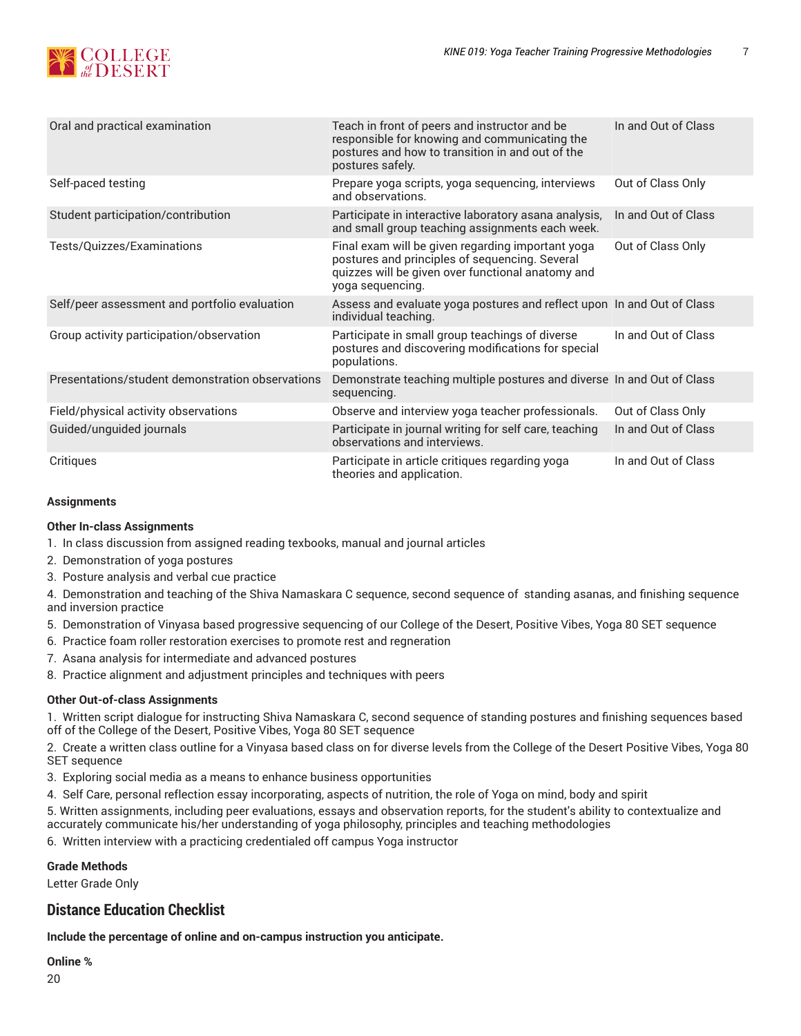

| Oral and practical examination                   | Teach in front of peers and instructor and be<br>responsible for knowing and communicating the<br>postures and how to transition in and out of the<br>postures safely.       | In and Out of Class |
|--------------------------------------------------|------------------------------------------------------------------------------------------------------------------------------------------------------------------------------|---------------------|
| Self-paced testing                               | Prepare yoga scripts, yoga sequencing, interviews<br>and observations.                                                                                                       | Out of Class Only   |
| Student participation/contribution               | Participate in interactive laboratory asana analysis,<br>and small group teaching assignments each week.                                                                     | In and Out of Class |
| Tests/Quizzes/Examinations                       | Final exam will be given regarding important yoga<br>postures and principles of sequencing. Several<br>quizzes will be given over functional anatomy and<br>yoga sequencing. | Out of Class Only   |
| Self/peer assessment and portfolio evaluation    | Assess and evaluate yoga postures and reflect upon In and Out of Class<br>individual teaching.                                                                               |                     |
| Group activity participation/observation         | Participate in small group teachings of diverse<br>postures and discovering modifications for special<br>populations.                                                        | In and Out of Class |
| Presentations/student demonstration observations | Demonstrate teaching multiple postures and diverse In and Out of Class<br>sequencing.                                                                                        |                     |
| Field/physical activity observations             | Observe and interview yoga teacher professionals.                                                                                                                            | Out of Class Only   |
| Guided/unguided journals                         | Participate in journal writing for self care, teaching<br>observations and interviews.                                                                                       | In and Out of Class |
| Critiques                                        | Participate in article critiques regarding yoga<br>theories and application.                                                                                                 | In and Out of Class |

#### **Assignments**

# **Other In-class Assignments**

- 1. In class discussion from assigned reading texbooks, manual and journal articles
- 2. Demonstration of yoga postures
- 3. Posture analysis and verbal cue practice

4. Demonstration and teaching of the Shiva Namaskara C sequence, second sequence of standing asanas, and finishing sequence and inversion practice

- 5. Demonstration of Vinyasa based progressive sequencing of our College of the Desert, Positive Vibes, Yoga 80 SET sequence
- 6. Practice foam roller restoration exercises to promote rest and regneration
- 7. Asana analysis for intermediate and advanced postures
- 8. Practice alignment and adjustment principles and techniques with peers

#### **Other Out-of-class Assignments**

1. Written script dialogue for instructing Shiva Namaskara C, second sequence of standing postures and finishing sequences based off of the College of the Desert, Positive Vibes, Yoga 80 SET sequence

2. Create a written class outline for a Vinyasa based class on for diverse levels from the College of the Desert Positive Vibes, Yoga 80 SET sequence

- 3. Exploring social media as a means to enhance business opportunities
- 4. Self Care, personal reflection essay incorporating, aspects of nutrition, the role of Yoga on mind, body and spirit

5. Written assignments, including peer evaluations, essays and observation reports, for the student's ability to contextualize and accurately communicate his/her understanding of yoga philosophy, principles and teaching methodologies

6. Written interview with a practicing credentialed off campus Yoga instructor

# **Grade Methods**

Letter Grade Only

# **Distance Education Checklist**

**Include the percentage of online and on-campus instruction you anticipate.**

#### **Online %**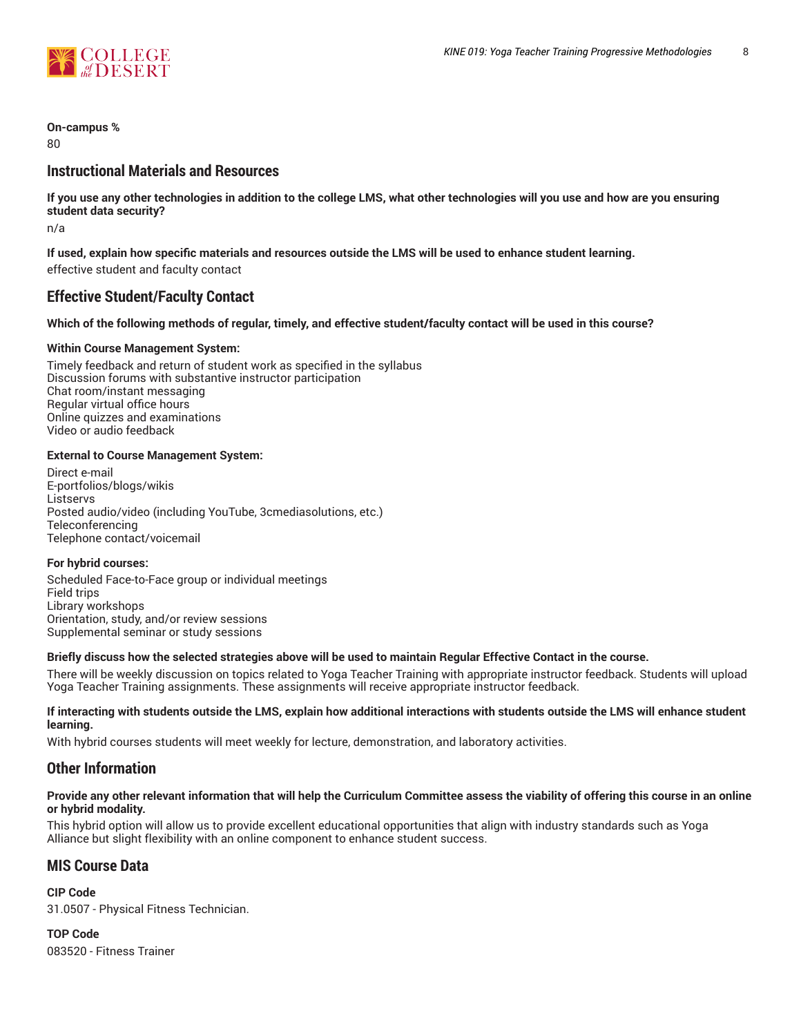

# **On-campus %**

 $80$ 

# **Instructional Materials and Resources**

If you use any other technologies in addition to the college LMS, what other technologies will you use and how are you ensuring **student data security?**

n/a

**If used, explain how specific materials and resources outside the LMS will be used to enhance student learning.** effective student and faculty contact

# **Effective Student/Faculty Contact**

#### Which of the following methods of regular, timely, and effective student/faculty contact will be used in this course?

#### **Within Course Management System:**

Timely feedback and return of student work as specified in the syllabus Discussion forums with substantive instructor participation Chat room/instant messaging Regular virtual office hours Online quizzes and examinations Video or audio feedback

#### **External to Course Management System:**

Direct e-mail E-portfolios/blogs/wikis **Listservs** Posted audio/video (including YouTube, 3cmediasolutions, etc.) **Teleconferencing** Telephone contact/voicemail

#### **For hybrid courses:**

Scheduled Face-to-Face group or individual meetings Field trips Library workshops Orientation, study, and/or review sessions Supplemental seminar or study sessions

# Briefly discuss how the selected strategies above will be used to maintain Regular Effective Contact in the course.

There will be weekly discussion on topics related to Yoga Teacher Training with appropriate instructor feedback. Students will upload Yoga Teacher Training assignments. These assignments will receive appropriate instructor feedback.

#### **If interacting with students outside the LMS, explain how additional interactions with students outside the LMS will enhance student learning.**

With hybrid courses students will meet weekly for lecture, demonstration, and laboratory activities.

# **Other Information**

#### Provide any other relevant information that will help the Curriculum Committee assess the viability of offering this course in an online **or hybrid modality.**

This hybrid option will allow us to provide excellent educational opportunities that align with industry standards such as Yoga Alliance but slight flexibility with an online component to enhance student success.

# **MIS Course Data**

**CIP Code** 31.0507 - Physical Fitness Technician.

**TOP Code** 083520 - Fitness Trainer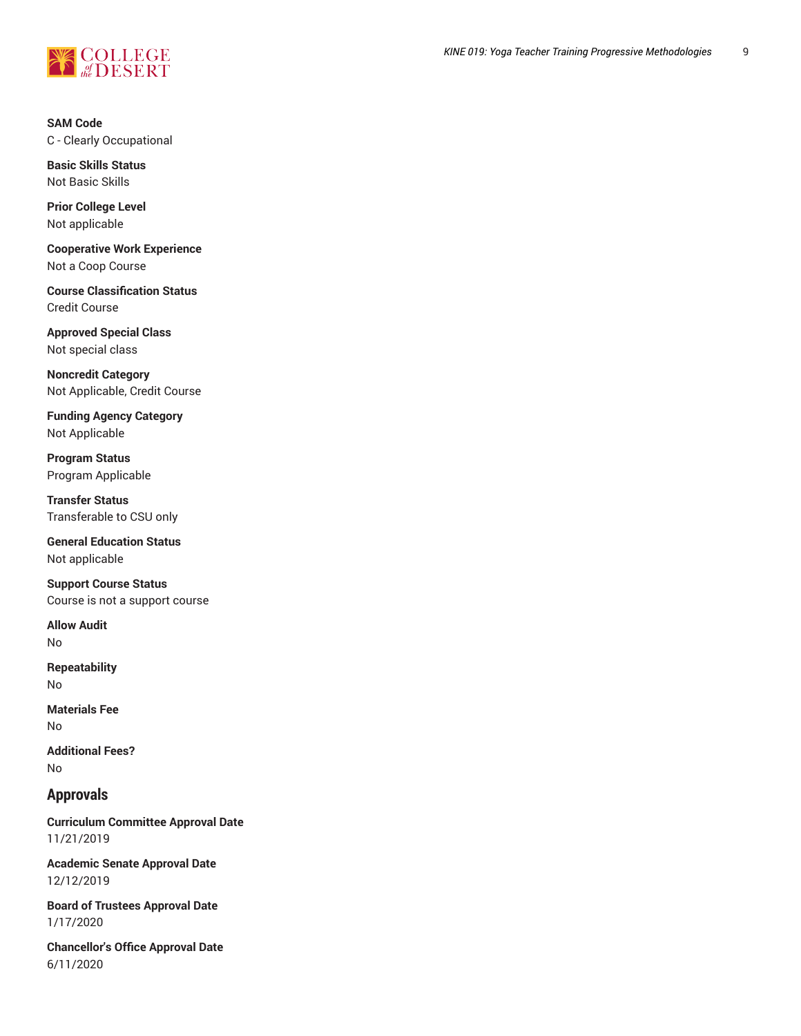

**SAM Code** C - Clearly Occupational

**Basic Skills Status** Not Basic Skills

**Prior College Level** Not applicable

**Cooperative Work Experience** Not a Coop Course

**Course Classification Status** Credit Course

**Approved Special Class** Not special class

**Noncredit Category** Not Applicable, Credit Course

**Funding Agency Category** Not Applicable

**Program Status** Program Applicable

**Transfer Status** Transferable to CSU only

**General Education Status** Not applicable

**Support Course Status** Course is not a support course

**Allow Audit** No

**Repeatability** No

**Materials Fee** No

**Additional Fees?** No

# **Approvals**

**Curriculum Committee Approval Date** 11/21/2019

**Academic Senate Approval Date** 12/12/2019

**Board of Trustees Approval Date** 1/17/2020

**Chancellor's Office Approval Date** 6/11/2020